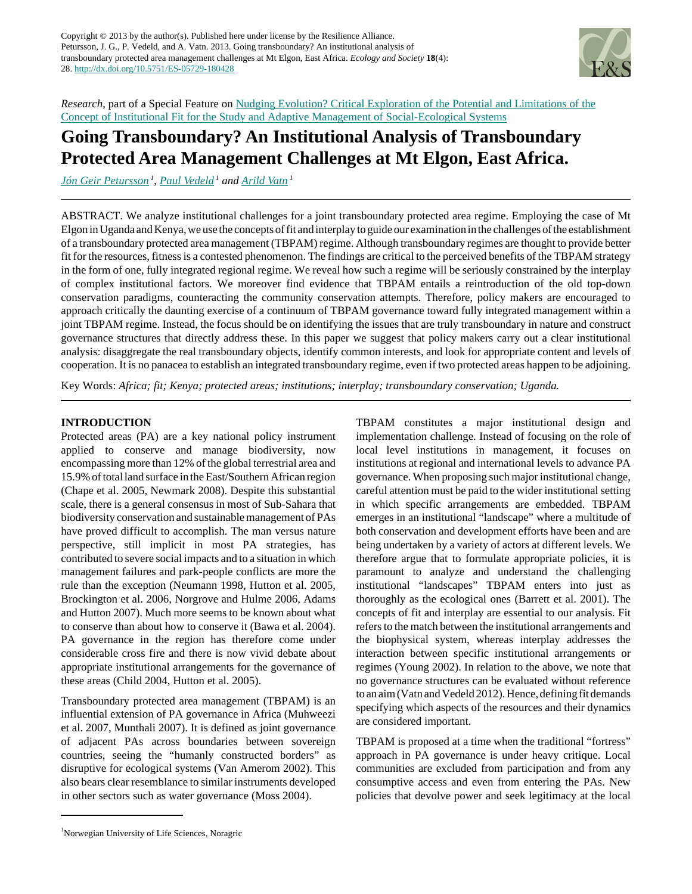

*Research*, part of a Special Feature on [Nudging Evolution? Critical Exploration of the Potential and Limitations of the](http://www.ecologyandsociety.org/viewissue.php?sf=70) [Concept of Institutional Fit for the Study and Adaptive Management of Social-Ecological Systems](http://www.ecologyandsociety.org/viewissue.php?sf=70)

# **Going Transboundary? An Institutional Analysis of Transboundary Protected Area Management Challenges at Mt Elgon, East Africa.**

*[Jón Geir Petursson](mailto:jgp@skog.is)<sup>1</sup>* , *[Paul Vedeld](mailto:pal.vedeld@umb.no)<sup>1</sup> and [Arild Vatn](mailto:arild.vatn@umb.no)<sup>1</sup>*

ABSTRACT. We analyze institutional challenges for a joint transboundary protected area regime. Employing the case of Mt Elgon in Uganda and Kenya, we use the concepts of fit and interplay to guide our examination in the challenges of the establishment of a transboundary protected area management (TBPAM) regime. Although transboundary regimes are thought to provide better fit for the resources, fitness is a contested phenomenon. The findings are critical to the perceived benefits of the TBPAM strategy in the form of one, fully integrated regional regime. We reveal how such a regime will be seriously constrained by the interplay of complex institutional factors. We moreover find evidence that TBPAM entails a reintroduction of the old top-down conservation paradigms, counteracting the community conservation attempts. Therefore, policy makers are encouraged to approach critically the daunting exercise of a continuum of TBPAM governance toward fully integrated management within a joint TBPAM regime. Instead, the focus should be on identifying the issues that are truly transboundary in nature and construct governance structures that directly address these. In this paper we suggest that policy makers carry out a clear institutional analysis: disaggregate the real transboundary objects, identify common interests, and look for appropriate content and levels of cooperation. It is no panacea to establish an integrated transboundary regime, even if two protected areas happen to be adjoining.

Key Words: *Africa; fit; Kenya; protected areas; institutions; interplay; transboundary conservation; Uganda.*

## **INTRODUCTION**

Protected areas (PA) are a key national policy instrument applied to conserve and manage biodiversity, now encompassing more than 12% of the global terrestrial area and 15.9% of total land surface in the East/Southern African region (Chape et al. 2005, Newmark 2008). Despite this substantial scale, there is a general consensus in most of Sub-Sahara that biodiversity conservation and sustainable management of PAs have proved difficult to accomplish. The man versus nature perspective, still implicit in most PA strategies, has contributed to severe social impacts and to a situation in which management failures and park-people conflicts are more the rule than the exception (Neumann 1998, Hutton et al. 2005, Brockington et al. 2006, Norgrove and Hulme 2006, Adams and Hutton 2007). Much more seems to be known about what to conserve than about how to conserve it (Bawa et al. 2004). PA governance in the region has therefore come under considerable cross fire and there is now vivid debate about appropriate institutional arrangements for the governance of these areas (Child 2004, Hutton et al. 2005).

Transboundary protected area management (TBPAM) is an influential extension of PA governance in Africa (Muhweezi et al. 2007, Munthali 2007). It is defined as joint governance of adjacent PAs across boundaries between sovereign countries, seeing the "humanly constructed borders" as disruptive for ecological systems (Van Amerom 2002). This also bears clear resemblance to similar instruments developed in other sectors such as water governance (Moss 2004).

TBPAM constitutes a major institutional design and implementation challenge. Instead of focusing on the role of local level institutions in management, it focuses on institutions at regional and international levels to advance PA governance. When proposing such major institutional change, careful attention must be paid to the wider institutional setting in which specific arrangements are embedded. TBPAM emerges in an institutional "landscape" where a multitude of both conservation and development efforts have been and are being undertaken by a variety of actors at different levels. We therefore argue that to formulate appropriate policies, it is paramount to analyze and understand the challenging institutional "landscapes" TBPAM enters into just as thoroughly as the ecological ones (Barrett et al. 2001). The concepts of fit and interplay are essential to our analysis. Fit refers to the match between the institutional arrangements and the biophysical system, whereas interplay addresses the interaction between specific institutional arrangements or regimes (Young 2002). In relation to the above, we note that no governance structures can be evaluated without reference to an aim (Vatn and Vedeld 2012). Hence, defining fit demands specifying which aspects of the resources and their dynamics are considered important.

TBPAM is proposed at a time when the traditional "fortress" approach in PA governance is under heavy critique. Local communities are excluded from participation and from any consumptive access and even from entering the PAs. New policies that devolve power and seek legitimacy at the local

<sup>1</sup>Norwegian University of Life Sciences, Noragric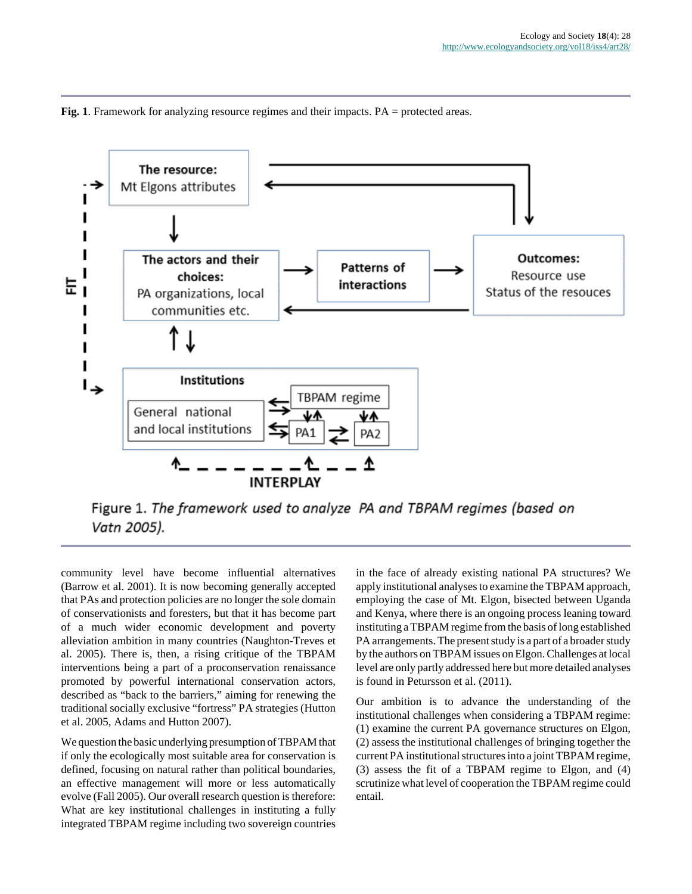Fig. 1. Framework for analyzing resource regimes and their impacts. PA = protected areas.



Figure 1. The framework used to analyze PA and TBPAM regimes (based on Vatn 2005).

community level have become influential alternatives (Barrow et al. 2001). It is now becoming generally accepted that PAs and protection policies are no longer the sole domain of conservationists and foresters, but that it has become part of a much wider economic development and poverty alleviation ambition in many countries (Naughton-Treves et al. 2005). There is, then, a rising critique of the TBPAM interventions being a part of a proconservation renaissance promoted by powerful international conservation actors, described as "back to the barriers," aiming for renewing the traditional socially exclusive "fortress" PA strategies (Hutton et al. 2005, Adams and Hutton 2007).

We question the basic underlying presumption of TBPAM that if only the ecologically most suitable area for conservation is defined, focusing on natural rather than political boundaries, an effective management will more or less automatically evolve (Fall 2005). Our overall research question is therefore: What are key institutional challenges in instituting a fully integrated TBPAM regime including two sovereign countries in the face of already existing national PA structures? We apply institutional analyses to examine the TBPAM approach, employing the case of Mt. Elgon, bisected between Uganda and Kenya, where there is an ongoing process leaning toward instituting a TBPAM regime from the basis of long established PA arrangements. The present study is a part of a broader study by the authors on TBPAM issues on Elgon. Challenges at local level are only partly addressed here but more detailed analyses is found in Petursson et al. (2011).

Our ambition is to advance the understanding of the institutional challenges when considering a TBPAM regime: (1) examine the current PA governance structures on Elgon, (2) assess the institutional challenges of bringing together the current PA institutional structures into a joint TBPAM regime, (3) assess the fit of a TBPAM regime to Elgon, and (4) scrutinize what level of cooperation the TBPAM regime could entail.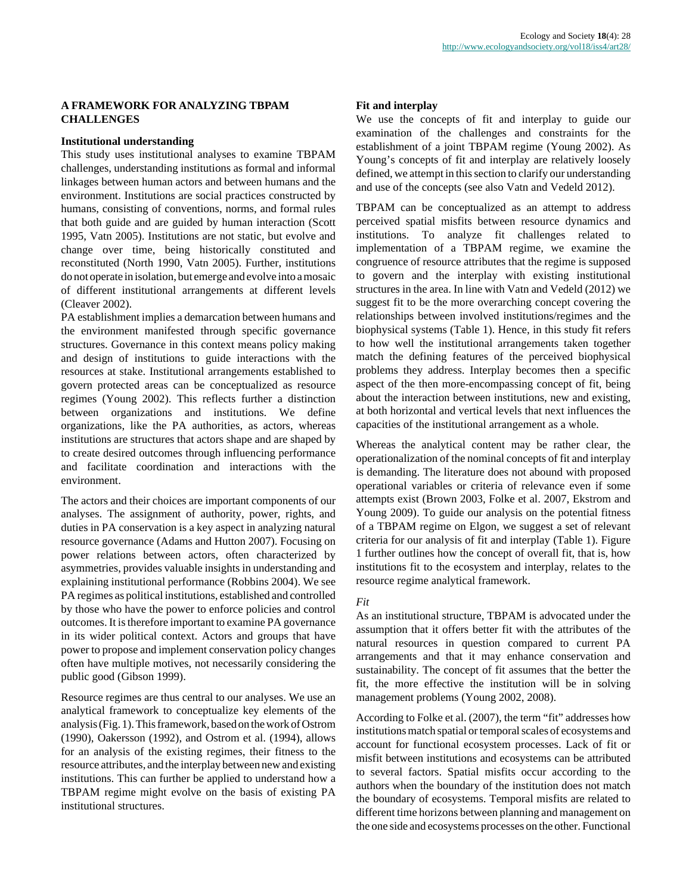## **A FRAMEWORK FOR ANALYZING TBPAM CHALLENGES**

#### **Institutional understanding**

This study uses institutional analyses to examine TBPAM challenges, understanding institutions as formal and informal linkages between human actors and between humans and the environment. Institutions are social practices constructed by humans, consisting of conventions, norms, and formal rules that both guide and are guided by human interaction (Scott 1995, Vatn 2005). Institutions are not static, but evolve and change over time, being historically constituted and reconstituted (North 1990, Vatn 2005). Further, institutions do not operate in isolation, but emerge and evolve into a mosaic of different institutional arrangements at different levels (Cleaver 2002).

PA establishment implies a demarcation between humans and the environment manifested through specific governance structures. Governance in this context means policy making and design of institutions to guide interactions with the resources at stake. Institutional arrangements established to govern protected areas can be conceptualized as resource regimes (Young 2002). This reflects further a distinction between organizations and institutions. We define organizations, like the PA authorities, as actors, whereas institutions are structures that actors shape and are shaped by to create desired outcomes through influencing performance and facilitate coordination and interactions with the environment.

The actors and their choices are important components of our analyses. The assignment of authority, power, rights, and duties in PA conservation is a key aspect in analyzing natural resource governance (Adams and Hutton 2007). Focusing on power relations between actors, often characterized by asymmetries, provides valuable insights in understanding and explaining institutional performance (Robbins 2004). We see PA regimes as political institutions, established and controlled by those who have the power to enforce policies and control outcomes. It is therefore important to examine PA governance in its wider political context. Actors and groups that have power to propose and implement conservation policy changes often have multiple motives, not necessarily considering the public good (Gibson 1999).

Resource regimes are thus central to our analyses. We use an analytical framework to conceptualize key elements of the analysis (Fig. 1). This framework, based on the work of Ostrom (1990), Oakersson (1992), and Ostrom et al. (1994), allows for an analysis of the existing regimes, their fitness to the resource attributes, and the interplay between new and existing institutions. This can further be applied to understand how a TBPAM regime might evolve on the basis of existing PA institutional structures.

#### **Fit and interplay**

We use the concepts of fit and interplay to guide our examination of the challenges and constraints for the establishment of a joint TBPAM regime (Young 2002). As Young's concepts of fit and interplay are relatively loosely defined, we attempt in this section to clarify our understanding and use of the concepts (see also Vatn and Vedeld 2012).

TBPAM can be conceptualized as an attempt to address perceived spatial misfits between resource dynamics and institutions. To analyze fit challenges related to implementation of a TBPAM regime, we examine the congruence of resource attributes that the regime is supposed to govern and the interplay with existing institutional structures in the area. In line with Vatn and Vedeld (2012) we suggest fit to be the more overarching concept covering the relationships between involved institutions/regimes and the biophysical systems (Table 1). Hence, in this study fit refers to how well the institutional arrangements taken together match the defining features of the perceived biophysical problems they address. Interplay becomes then a specific aspect of the then more-encompassing concept of fit, being about the interaction between institutions, new and existing, at both horizontal and vertical levels that next influences the capacities of the institutional arrangement as a whole.

Whereas the analytical content may be rather clear, the operationalization of the nominal concepts of fit and interplay is demanding. The literature does not abound with proposed operational variables or criteria of relevance even if some attempts exist (Brown 2003, Folke et al. 2007, Ekstrom and Young 2009). To guide our analysis on the potential fitness of a TBPAM regime on Elgon, we suggest a set of relevant criteria for our analysis of fit and interplay (Table 1). Figure 1 further outlines how the concept of overall fit, that is, how institutions fit to the ecosystem and interplay, relates to the resource regime analytical framework.

#### *Fit*

As an institutional structure, TBPAM is advocated under the assumption that it offers better fit with the attributes of the natural resources in question compared to current PA arrangements and that it may enhance conservation and sustainability. The concept of fit assumes that the better the fit, the more effective the institution will be in solving management problems (Young 2002, 2008).

According to Folke et al. (2007), the term "fit" addresses how institutions match spatial or temporal scales of ecosystems and account for functional ecosystem processes. Lack of fit or misfit between institutions and ecosystems can be attributed to several factors. Spatial misfits occur according to the authors when the boundary of the institution does not match the boundary of ecosystems. Temporal misfits are related to different time horizons between planning and management on the one side and ecosystems processes on the other. Functional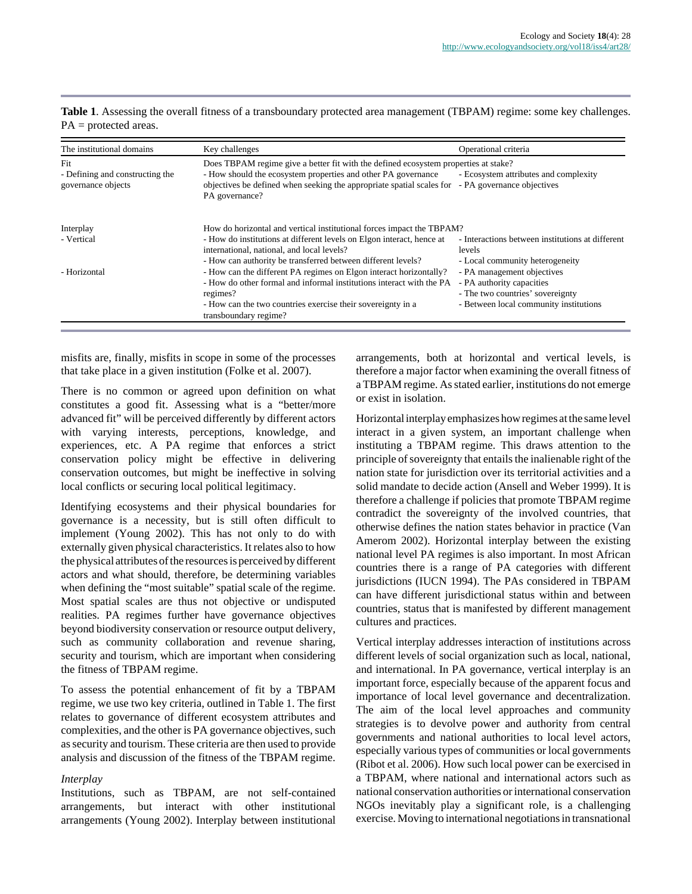| The institutional domains                                    | Key challenges                                                                                                                                                                                                                                                                                                         | Operational criteria                                                                                                                  |  |  |  |
|--------------------------------------------------------------|------------------------------------------------------------------------------------------------------------------------------------------------------------------------------------------------------------------------------------------------------------------------------------------------------------------------|---------------------------------------------------------------------------------------------------------------------------------------|--|--|--|
| Fit<br>- Defining and constructing the<br>governance objects | Does TBPAM regime give a better fit with the defined ecosystem properties at stake?<br>- How should the ecosystem properties and other PA governance<br>- Ecosystem attributes and complexity<br>objectives be defined when seeking the appropriate spatial scales for<br>- PA governance objectives<br>PA governance? |                                                                                                                                       |  |  |  |
| Interplay<br>- Vertical                                      | How do horizontal and vertical institutional forces impact the TBPAM?<br>- How do institutions at different levels on Elgon interact, hence at<br>international, national, and local levels?<br>- How can authority be transferred between different levels?                                                           | - Interactions between institutions at different<br>levels<br>- Local community heterogeneity                                         |  |  |  |
| - Horizontal                                                 | - How can the different PA regimes on Elgon interact horizontally?<br>- How do other formal and informal institutions interact with the PA<br>regimes?<br>- How can the two countries exercise their sovereignty in a<br>transboundary regime?                                                                         | - PA management objectives<br>- PA authority capacities<br>- The two countries' sovereignty<br>- Between local community institutions |  |  |  |

**Table 1**. Assessing the overall fitness of a transboundary protected area management (TBPAM) regime: some key challenges. PA = protected areas.

misfits are, finally, misfits in scope in some of the processes that take place in a given institution (Folke et al. 2007).

There is no common or agreed upon definition on what constitutes a good fit. Assessing what is a "better/more advanced fit" will be perceived differently by different actors with varying interests, perceptions, knowledge, and experiences, etc. A PA regime that enforces a strict conservation policy might be effective in delivering conservation outcomes, but might be ineffective in solving local conflicts or securing local political legitimacy.

Identifying ecosystems and their physical boundaries for governance is a necessity, but is still often difficult to implement (Young 2002). This has not only to do with externally given physical characteristics. It relates also to how the physical attributes of the resources is perceived by different actors and what should, therefore, be determining variables when defining the "most suitable" spatial scale of the regime. Most spatial scales are thus not objective or undisputed realities. PA regimes further have governance objectives beyond biodiversity conservation or resource output delivery, such as community collaboration and revenue sharing, security and tourism, which are important when considering the fitness of TBPAM regime.

To assess the potential enhancement of fit by a TBPAM regime, we use two key criteria, outlined in Table 1. The first relates to governance of different ecosystem attributes and complexities, and the other is PA governance objectives, such as security and tourism. These criteria are then used to provide analysis and discussion of the fitness of the TBPAM regime.

# *Interplay*

Institutions, such as TBPAM, are not self-contained arrangements, but interact with other institutional arrangements (Young 2002). Interplay between institutional arrangements, both at horizontal and vertical levels, is therefore a major factor when examining the overall fitness of a TBPAM regime. As stated earlier, institutions do not emerge or exist in isolation.

Horizontal interplay emphasizes how regimes at the same level interact in a given system, an important challenge when instituting a TBPAM regime. This draws attention to the principle of sovereignty that entails the inalienable right of the nation state for jurisdiction over its territorial activities and a solid mandate to decide action (Ansell and Weber 1999). It is therefore a challenge if policies that promote TBPAM regime contradict the sovereignty of the involved countries, that otherwise defines the nation states behavior in practice (Van Amerom 2002). Horizontal interplay between the existing national level PA regimes is also important. In most African countries there is a range of PA categories with different jurisdictions (IUCN 1994). The PAs considered in TBPAM can have different jurisdictional status within and between countries, status that is manifested by different management cultures and practices.

Vertical interplay addresses interaction of institutions across different levels of social organization such as local, national, and international. In PA governance, vertical interplay is an important force, especially because of the apparent focus and importance of local level governance and decentralization. The aim of the local level approaches and community strategies is to devolve power and authority from central governments and national authorities to local level actors, especially various types of communities or local governments (Ribot et al. 2006). How such local power can be exercised in a TBPAM, where national and international actors such as national conservation authorities or international conservation NGOs inevitably play a significant role, is a challenging exercise. Moving to international negotiations in transnational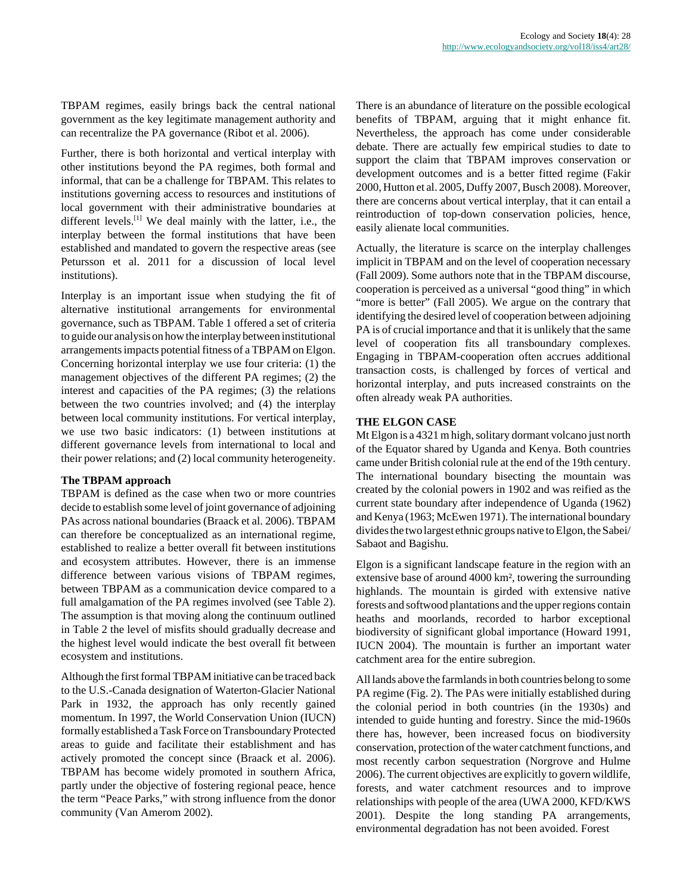TBPAM regimes, easily brings back the central national government as the key legitimate management authority and can recentralize the PA governance (Ribot et al. 2006).

Further, there is both horizontal and vertical interplay with other institutions beyond the PA regimes, both formal and informal, that can be a challenge for TBPAM. This relates to institutions governing access to resources and institutions of local government with their administrative boundaries at different levels.<sup>[1]</sup> We deal mainly with the latter, i.e., the interplay between the formal institutions that have been established and mandated to govern the respective areas (see Petursson et al. 2011 for a discussion of local level institutions).

Interplay is an important issue when studying the fit of alternative institutional arrangements for environmental governance, such as TBPAM. Table 1 offered a set of criteria to guide our analysis on how the interplay between institutional arrangements impacts potential fitness of a TBPAM on Elgon. Concerning horizontal interplay we use four criteria: (1) the management objectives of the different PA regimes; (2) the interest and capacities of the PA regimes; (3) the relations between the two countries involved; and (4) the interplay between local community institutions. For vertical interplay, we use two basic indicators: (1) between institutions at different governance levels from international to local and their power relations; and (2) local community heterogeneity.

#### **The TBPAM approach**

TBPAM is defined as the case when two or more countries decide to establish some level of joint governance of adjoining PAs across national boundaries (Braack et al. 2006). TBPAM can therefore be conceptualized as an international regime, established to realize a better overall fit between institutions and ecosystem attributes. However, there is an immense difference between various visions of TBPAM regimes, between TBPAM as a communication device compared to a full amalgamation of the PA regimes involved (see Table 2). The assumption is that moving along the continuum outlined in Table 2 the level of misfits should gradually decrease and the highest level would indicate the best overall fit between ecosystem and institutions.

Although the first formal TBPAM initiative can be traced back to the U.S.-Canada designation of Waterton-Glacier National Park in 1932, the approach has only recently gained momentum. In 1997, the World Conservation Union (IUCN) formally established a Task Force on Transboundary Protected areas to guide and facilitate their establishment and has actively promoted the concept since (Braack et al. 2006). TBPAM has become widely promoted in southern Africa, partly under the objective of fostering regional peace, hence the term "Peace Parks," with strong influence from the donor community (Van Amerom 2002).

There is an abundance of literature on the possible ecological benefits of TBPAM, arguing that it might enhance fit. Nevertheless, the approach has come under considerable debate. There are actually few empirical studies to date to support the claim that TBPAM improves conservation or development outcomes and is a better fitted regime (Fakir 2000, Hutton et al. 2005, Duffy 2007, Busch 2008). Moreover, there are concerns about vertical interplay, that it can entail a reintroduction of top-down conservation policies, hence, easily alienate local communities.

Actually, the literature is scarce on the interplay challenges implicit in TBPAM and on the level of cooperation necessary (Fall 2009). Some authors note that in the TBPAM discourse, cooperation is perceived as a universal "good thing" in which "more is better" (Fall 2005). We argue on the contrary that identifying the desired level of cooperation between adjoining PA is of crucial importance and that it is unlikely that the same level of cooperation fits all transboundary complexes. Engaging in TBPAM-cooperation often accrues additional transaction costs, is challenged by forces of vertical and horizontal interplay, and puts increased constraints on the often already weak PA authorities.

#### **THE ELGON CASE**

Mt Elgon is a 4321 m high, solitary dormant volcano just north of the Equator shared by Uganda and Kenya. Both countries came under British colonial rule at the end of the 19th century. The international boundary bisecting the mountain was created by the colonial powers in 1902 and was reified as the current state boundary after independence of Uganda (1962) and Kenya (1963; McEwen 1971). The international boundary divides the two largest ethnic groups native to Elgon, the Sabei/ Sabaot and Bagishu.

Elgon is a significant landscape feature in the region with an extensive base of around 4000 km², towering the surrounding highlands. The mountain is girded with extensive native forests and softwood plantations and the upper regions contain heaths and moorlands, recorded to harbor exceptional biodiversity of significant global importance (Howard 1991, IUCN 2004). The mountain is further an important water catchment area for the entire subregion.

All lands above the farmlands in both countries belong to some PA regime (Fig. 2). The PAs were initially established during the colonial period in both countries (in the 1930s) and intended to guide hunting and forestry. Since the mid-1960s there has, however, been increased focus on biodiversity conservation, protection of the water catchment functions, and most recently carbon sequestration (Norgrove and Hulme 2006). The current objectives are explicitly to govern wildlife, forests, and water catchment resources and to improve relationships with people of the area (UWA 2000, KFD/KWS 2001). Despite the long standing PA arrangements, environmental degradation has not been avoided. Forest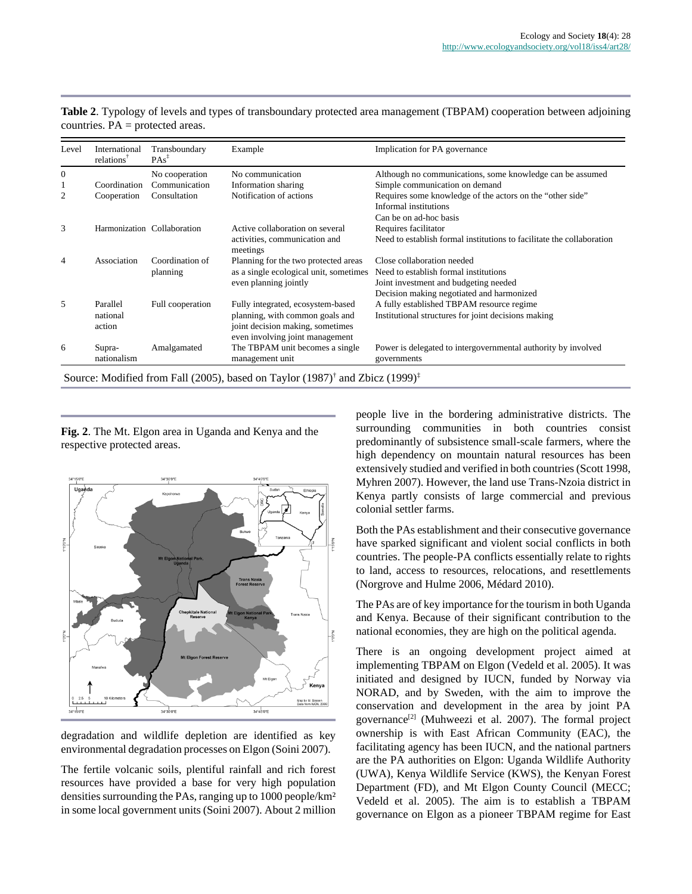| Level          | International<br>relations <sup>7</sup> | Transboundary<br>PAs <sup>1</sup> | Example                                                                                                | Implication for PA governance                                                |
|----------------|-----------------------------------------|-----------------------------------|--------------------------------------------------------------------------------------------------------|------------------------------------------------------------------------------|
| $\mathbf{0}$   |                                         | No cooperation                    | No communication                                                                                       | Although no communications, some knowledge can be assumed                    |
| 1              | Coordination                            | Communication                     | Information sharing                                                                                    | Simple communication on demand                                               |
| $\overline{2}$ | Cooperation                             | Consultation                      | Notification of actions                                                                                | Requires some knowledge of the actors on the "other side"                    |
|                |                                         |                                   |                                                                                                        | Informal institutions                                                        |
|                |                                         |                                   |                                                                                                        | Can be on ad-hoc basis                                                       |
| 3              |                                         | Harmonization Collaboration       | Active collaboration on several                                                                        | Requires facilitator                                                         |
|                |                                         |                                   | activities, communication and<br>meetings                                                              | Need to establish formal institutions to facilitate the collaboration        |
| $\overline{4}$ | Association                             | Coordination of                   | Planning for the two protected areas                                                                   | Close collaboration needed                                                   |
|                |                                         | planning                          | as a single ecological unit, sometimes                                                                 | Need to establish formal institutions                                        |
|                |                                         |                                   | even planning jointly                                                                                  | Joint investment and budgeting needed                                        |
|                |                                         |                                   |                                                                                                        | Decision making negotiated and harmonized                                    |
| 5              | Parallel                                | Full cooperation                  | Fully integrated, ecosystem-based                                                                      | A fully established TBPAM resource regime                                    |
|                | national<br>action                      |                                   | planning, with common goals and<br>joint decision making, sometimes<br>even involving joint management | Institutional structures for joint decisions making                          |
| 6              | Supra-<br>nationalism                   | Amalgamated                       | The TBPAM unit becomes a single<br>management unit                                                     | Power is delegated to intergovernmental authority by involved<br>governments |

**Table 2**. Typology of levels and types of transboundary protected area management (TBPAM) cooperation between adjoining countries. PA = protected areas.

**Fig. 2**. The Mt. Elgon area in Uganda and Kenya and the respective protected areas.



degradation and wildlife depletion are identified as key environmental degradation processes on Elgon (Soini 2007).

The fertile volcanic soils, plentiful rainfall and rich forest resources have provided a base for very high population densities surrounding the PAs, ranging up to 1000 people/km² in some local government units (Soini 2007). About 2 million people live in the bordering administrative districts. The surrounding communities in both countries consist predominantly of subsistence small-scale farmers, where the high dependency on mountain natural resources has been extensively studied and verified in both countries (Scott 1998, Myhren 2007). However, the land use Trans-Nzoia district in Kenya partly consists of large commercial and previous colonial settler farms.

Both the PAs establishment and their consecutive governance have sparked significant and violent social conflicts in both countries. The people-PA conflicts essentially relate to rights to land, access to resources, relocations, and resettlements (Norgrove and Hulme 2006, Médard 2010).

The PAs are of key importance for the tourism in both Uganda and Kenya. Because of their significant contribution to the national economies, they are high on the political agenda.

There is an ongoing development project aimed at implementing TBPAM on Elgon (Vedeld et al. 2005). It was initiated and designed by IUCN, funded by Norway via NORAD, and by Sweden, with the aim to improve the conservation and development in the area by joint PA governance<sup>[2]</sup> (Muhweezi et al. 2007). The formal project ownership is with East African Community (EAC), the facilitating agency has been IUCN, and the national partners are the PA authorities on Elgon: Uganda Wildlife Authority (UWA), Kenya Wildlife Service (KWS), the Kenyan Forest Department (FD), and Mt Elgon County Council (MECC; Vedeld et al. 2005). The aim is to establish a TBPAM governance on Elgon as a pioneer TBPAM regime for East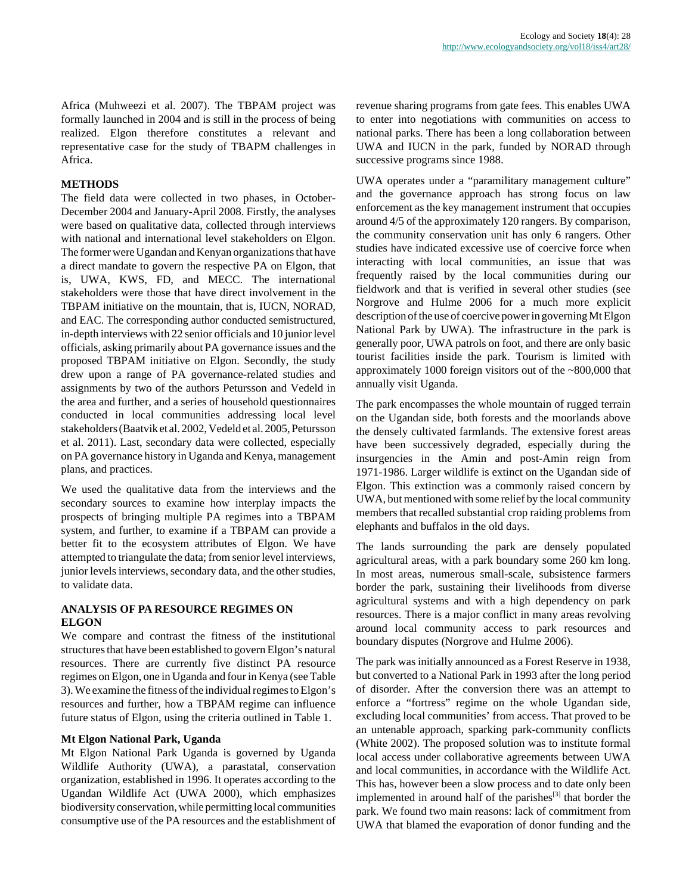Africa (Muhweezi et al. 2007). The TBPAM project was formally launched in 2004 and is still in the process of being realized. Elgon therefore constitutes a relevant and representative case for the study of TBAPM challenges in Africa.

# **METHODS**

The field data were collected in two phases, in October-December 2004 and January-April 2008. Firstly, the analyses were based on qualitative data, collected through interviews with national and international level stakeholders on Elgon. The former were Ugandan and Kenyan organizations that have a direct mandate to govern the respective PA on Elgon, that is, UWA, KWS, FD, and MECC. The international stakeholders were those that have direct involvement in the TBPAM initiative on the mountain, that is, IUCN, NORAD, and EAC. The corresponding author conducted semistructured, in-depth interviews with 22 senior officials and 10 junior level officials, asking primarily about PA governance issues and the proposed TBPAM initiative on Elgon. Secondly, the study drew upon a range of PA governance-related studies and assignments by two of the authors Petursson and Vedeld in the area and further, and a series of household questionnaires conducted in local communities addressing local level stakeholders (Baatvik et al. 2002, Vedeld et al. 2005, Petursson et al. 2011). Last, secondary data were collected, especially on PA governance history in Uganda and Kenya, management plans, and practices.

We used the qualitative data from the interviews and the secondary sources to examine how interplay impacts the prospects of bringing multiple PA regimes into a TBPAM system, and further, to examine if a TBPAM can provide a better fit to the ecosystem attributes of Elgon. We have attempted to triangulate the data; from senior level interviews, junior levels interviews, secondary data, and the other studies, to validate data.

## **ANALYSIS OF PA RESOURCE REGIMES ON ELGON**

We compare and contrast the fitness of the institutional structures that have been established to govern Elgon's natural resources. There are currently five distinct PA resource regimes on Elgon, one in Uganda and four in Kenya (see Table 3). We examine the fitness of the individual regimes to Elgon's resources and further, how a TBPAM regime can influence future status of Elgon, using the criteria outlined in Table 1.

#### **Mt Elgon National Park, Uganda**

Mt Elgon National Park Uganda is governed by Uganda Wildlife Authority (UWA), a parastatal, conservation organization, established in 1996. It operates according to the Ugandan Wildlife Act (UWA 2000), which emphasizes biodiversity conservation, while permitting local communities consumptive use of the PA resources and the establishment of revenue sharing programs from gate fees. This enables UWA to enter into negotiations with communities on access to national parks. There has been a long collaboration between UWA and IUCN in the park, funded by NORAD through successive programs since 1988.

UWA operates under a "paramilitary management culture" and the governance approach has strong focus on law enforcement as the key management instrument that occupies around 4/5 of the approximately 120 rangers. By comparison, the community conservation unit has only 6 rangers. Other studies have indicated excessive use of coercive force when interacting with local communities, an issue that was frequently raised by the local communities during our fieldwork and that is verified in several other studies (see Norgrove and Hulme 2006 for a much more explicit description of the use of coercive power in governing Mt Elgon National Park by UWA). The infrastructure in the park is generally poor, UWA patrols on foot, and there are only basic tourist facilities inside the park. Tourism is limited with approximately 1000 foreign visitors out of the ~800,000 that annually visit Uganda.

The park encompasses the whole mountain of rugged terrain on the Ugandan side, both forests and the moorlands above the densely cultivated farmlands. The extensive forest areas have been successively degraded, especially during the insurgencies in the Amin and post-Amin reign from 1971-1986. Larger wildlife is extinct on the Ugandan side of Elgon. This extinction was a commonly raised concern by UWA, but mentioned with some relief by the local community members that recalled substantial crop raiding problems from elephants and buffalos in the old days.

The lands surrounding the park are densely populated agricultural areas, with a park boundary some 260 km long. In most areas, numerous small-scale, subsistence farmers border the park, sustaining their livelihoods from diverse agricultural systems and with a high dependency on park resources. There is a major conflict in many areas revolving around local community access to park resources and boundary disputes (Norgrove and Hulme 2006).

The park was initially announced as a Forest Reserve in 1938, but converted to a National Park in 1993 after the long period of disorder. After the conversion there was an attempt to enforce a "fortress" regime on the whole Ugandan side, excluding local communities' from access. That proved to be an untenable approach, sparking park-community conflicts (White 2002). The proposed solution was to institute formal local access under collaborative agreements between UWA and local communities, in accordance with the Wildlife Act. This has, however been a slow process and to date only been implemented in around half of the parishes $[3]$  that border the park. We found two main reasons: lack of commitment from UWA that blamed the evaporation of donor funding and the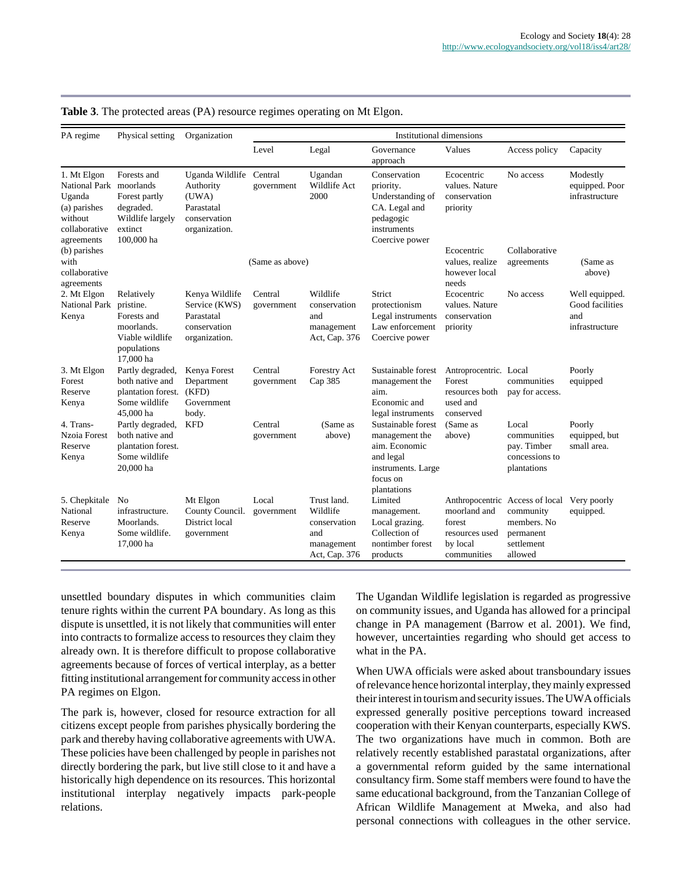| PA regime                                                                                                  | Physical setting                                                                                    | Organization                                                                         | <b>Institutional dimensions</b> |                                                                               |                                                                                                                     |                                                                             |                                                                                                               |                                                            |
|------------------------------------------------------------------------------------------------------------|-----------------------------------------------------------------------------------------------------|--------------------------------------------------------------------------------------|---------------------------------|-------------------------------------------------------------------------------|---------------------------------------------------------------------------------------------------------------------|-----------------------------------------------------------------------------|---------------------------------------------------------------------------------------------------------------|------------------------------------------------------------|
|                                                                                                            |                                                                                                     |                                                                                      | Level                           | Legal                                                                         | Governance<br>approach                                                                                              | Values                                                                      | Access policy                                                                                                 | Capacity                                                   |
| 1. Mt Elgon<br>National Park moorlands<br>Uganda<br>(a) parishes<br>without<br>collaborative<br>agreements | Forests and<br>Forest partly<br>degraded.<br>Wildlife largely<br>extinct<br>100,000 ha              | Uganda Wildlife<br>Authority<br>(UWA)<br>Parastatal<br>conservation<br>organization. | Central<br>government           | Ugandan<br>Wildlife Act<br>2000                                               | Conservation<br>priority.<br>Understanding of<br>CA. Legal and<br>pedagogic<br>instruments<br>Coercive power        | Ecocentric<br>values. Nature<br>conservation<br>priority                    | No access                                                                                                     | Modestly<br>equipped. Poor<br>infrastructure               |
| (b) parishes<br>with<br>collaborative<br>agreements                                                        |                                                                                                     |                                                                                      | (Same as above)                 |                                                                               |                                                                                                                     | Ecocentric<br>values, realize<br>however local<br>needs                     | Collaborative<br>agreements                                                                                   | (Same as<br>above)                                         |
| 2. Mt Elgon<br>National Park<br>Kenya                                                                      | Relatively<br>pristine.<br>Forests and<br>moorlands.<br>Viable wildlife<br>populations<br>17,000 ha | Kenya Wildlife<br>Service (KWS)<br>Parastatal<br>conservation<br>organization.       | Central<br>government           | Wildlife<br>conservation<br>and<br>management<br>Act, Cap. 376                | <b>Strict</b><br>protectionism<br>Legal instruments<br>Law enforcement<br>Coercive power                            | Ecocentric<br>values. Nature<br>conservation<br>priority                    | No access                                                                                                     | Well equipped.<br>Good facilities<br>and<br>infrastructure |
| 3. Mt Elgon<br>Forest<br>Reserve<br>Kenya                                                                  | Partly degraded,<br>both native and<br>plantation forest.<br>Some wildlife<br>45,000 ha             | Kenya Forest<br>Department<br>(KFD)<br>Government<br>body.                           | Central<br>government           | Forestry Act<br>Cap 385                                                       | Sustainable forest<br>management the<br>aim.<br>Economic and<br>legal instruments                                   | Antroprocentric. Local<br>Forest<br>resources both<br>used and<br>conserved | communities<br>pay for access.                                                                                | Poorly<br>equipped                                         |
| 4. Trans-<br>Nzoia Forest<br>Reserve<br>Kenya                                                              | Partly degraded,<br>both native and<br>plantation forest.<br>Some wildlife<br>20,000 ha             | <b>KFD</b>                                                                           | Central<br>government           | (Same as<br>above)                                                            | Sustainable forest<br>management the<br>aim. Economic<br>and legal<br>instruments. Large<br>focus on<br>plantations | (Same as<br>above)                                                          | Local<br>communities<br>pay. Timber<br>concessions to<br>plantations                                          | Poorly<br>equipped, but<br>small area.                     |
| 5. Chepkitale<br>National<br>Reserve<br>Kenya                                                              | N <sub>0</sub><br>infrastructure.<br>Moorlands.<br>Some wildlife.<br>17,000 ha                      | Mt Elgon<br>County Council.<br>District local<br>government                          | Local<br>government             | Trust land.<br>Wildlife<br>conservation<br>and<br>management<br>Act, Cap. 376 | Limited<br>management.<br>Local grazing.<br>Collection of<br>nontimber forest<br>products                           | moorland and<br>forest<br>resources used<br>by local<br>communities         | Anthropocentric Access of local Very poorly<br>community<br>members. No<br>permanent<br>settlement<br>allowed | equipped.                                                  |

#### **Table 3**. The protected areas (PA) resource regimes operating on Mt Elgon.

unsettled boundary disputes in which communities claim tenure rights within the current PA boundary. As long as this dispute is unsettled, it is not likely that communities will enter into contracts to formalize access to resources they claim they already own. It is therefore difficult to propose collaborative agreements because of forces of vertical interplay, as a better fitting institutional arrangement for community access in other PA regimes on Elgon.

The park is, however, closed for resource extraction for all citizens except people from parishes physically bordering the park and thereby having collaborative agreements with UWA. These policies have been challenged by people in parishes not directly bordering the park, but live still close to it and have a historically high dependence on its resources. This horizontal institutional interplay negatively impacts park-people relations.

The Ugandan Wildlife legislation is regarded as progressive on community issues, and Uganda has allowed for a principal change in PA management (Barrow et al. 2001). We find, however, uncertainties regarding who should get access to what in the PA.

When UWA officials were asked about transboundary issues of relevance hence horizontal interplay, they mainly expressed their interest in tourism and security issues. The UWA officials expressed generally positive perceptions toward increased cooperation with their Kenyan counterparts, especially KWS. The two organizations have much in common. Both are relatively recently established parastatal organizations, after a governmental reform guided by the same international consultancy firm. Some staff members were found to have the same educational background, from the Tanzanian College of African Wildlife Management at Mweka, and also had personal connections with colleagues in the other service.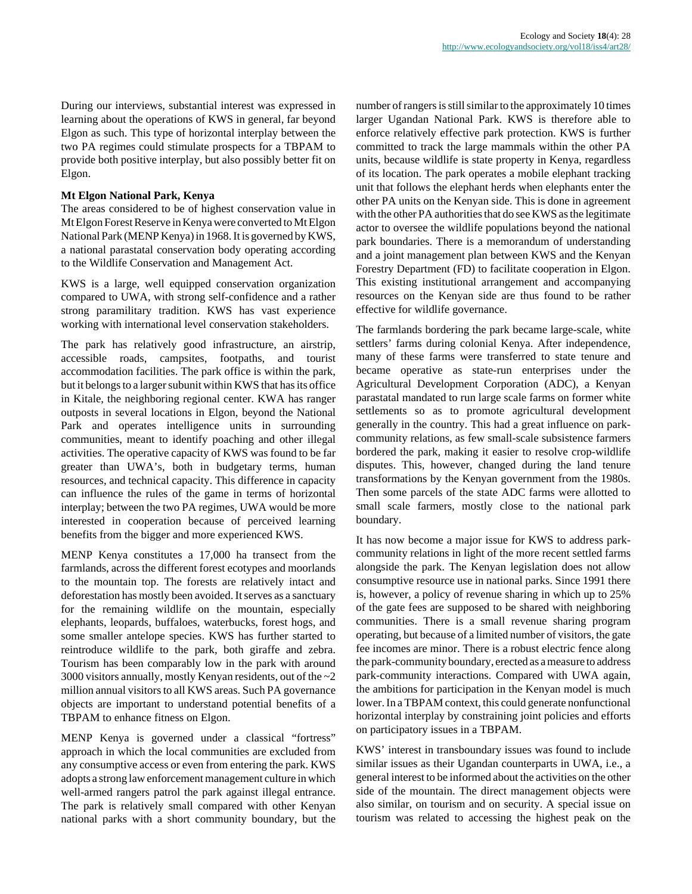During our interviews, substantial interest was expressed in learning about the operations of KWS in general, far beyond Elgon as such. This type of horizontal interplay between the two PA regimes could stimulate prospects for a TBPAM to provide both positive interplay, but also possibly better fit on Elgon.

#### **Mt Elgon National Park, Kenya**

The areas considered to be of highest conservation value in Mt Elgon Forest Reserve in Kenya were converted to Mt Elgon National Park (MENP Kenya) in 1968. It is governed by KWS, a national parastatal conservation body operating according to the Wildlife Conservation and Management Act.

KWS is a large, well equipped conservation organization compared to UWA, with strong self-confidence and a rather strong paramilitary tradition. KWS has vast experience working with international level conservation stakeholders.

The park has relatively good infrastructure, an airstrip, accessible roads, campsites, footpaths, and tourist accommodation facilities. The park office is within the park, but it belongs to a larger subunit within KWS that has its office in Kitale, the neighboring regional center. KWA has ranger outposts in several locations in Elgon, beyond the National Park and operates intelligence units in surrounding communities, meant to identify poaching and other illegal activities. The operative capacity of KWS was found to be far greater than UWA's, both in budgetary terms, human resources, and technical capacity. This difference in capacity can influence the rules of the game in terms of horizontal interplay; between the two PA regimes, UWA would be more interested in cooperation because of perceived learning benefits from the bigger and more experienced KWS.

MENP Kenya constitutes a 17,000 ha transect from the farmlands, across the different forest ecotypes and moorlands to the mountain top. The forests are relatively intact and deforestation has mostly been avoided. It serves as a sanctuary for the remaining wildlife on the mountain, especially elephants, leopards, buffaloes, waterbucks, forest hogs, and some smaller antelope species. KWS has further started to reintroduce wildlife to the park, both giraffe and zebra. Tourism has been comparably low in the park with around 3000 visitors annually, mostly Kenyan residents, out of the ~2 million annual visitors to all KWS areas. Such PA governance objects are important to understand potential benefits of a TBPAM to enhance fitness on Elgon.

MENP Kenya is governed under a classical "fortress" approach in which the local communities are excluded from any consumptive access or even from entering the park. KWS adopts a strong law enforcement management culture in which well-armed rangers patrol the park against illegal entrance. The park is relatively small compared with other Kenyan national parks with a short community boundary, but the number of rangers is still similar to the approximately 10 times larger Ugandan National Park. KWS is therefore able to enforce relatively effective park protection. KWS is further committed to track the large mammals within the other PA units, because wildlife is state property in Kenya, regardless of its location. The park operates a mobile elephant tracking unit that follows the elephant herds when elephants enter the other PA units on the Kenyan side. This is done in agreement with the other PA authorities that do see KWS as the legitimate actor to oversee the wildlife populations beyond the national park boundaries. There is a memorandum of understanding and a joint management plan between KWS and the Kenyan Forestry Department (FD) to facilitate cooperation in Elgon. This existing institutional arrangement and accompanying resources on the Kenyan side are thus found to be rather effective for wildlife governance.

The farmlands bordering the park became large-scale, white settlers' farms during colonial Kenya. After independence, many of these farms were transferred to state tenure and became operative as state-run enterprises under the Agricultural Development Corporation (ADC), a Kenyan parastatal mandated to run large scale farms on former white settlements so as to promote agricultural development generally in the country. This had a great influence on parkcommunity relations, as few small-scale subsistence farmers bordered the park, making it easier to resolve crop-wildlife disputes. This, however, changed during the land tenure transformations by the Kenyan government from the 1980s. Then some parcels of the state ADC farms were allotted to small scale farmers, mostly close to the national park boundary.

It has now become a major issue for KWS to address parkcommunity relations in light of the more recent settled farms alongside the park. The Kenyan legislation does not allow consumptive resource use in national parks. Since 1991 there is, however, a policy of revenue sharing in which up to 25% of the gate fees are supposed to be shared with neighboring communities. There is a small revenue sharing program operating, but because of a limited number of visitors, the gate fee incomes are minor. There is a robust electric fence along the park-community boundary, erected as a measure to address park-community interactions. Compared with UWA again, the ambitions for participation in the Kenyan model is much lower. In a TBPAM context, this could generate nonfunctional horizontal interplay by constraining joint policies and efforts on participatory issues in a TBPAM.

KWS' interest in transboundary issues was found to include similar issues as their Ugandan counterparts in UWA, i.e., a general interest to be informed about the activities on the other side of the mountain. The direct management objects were also similar, on tourism and on security. A special issue on tourism was related to accessing the highest peak on the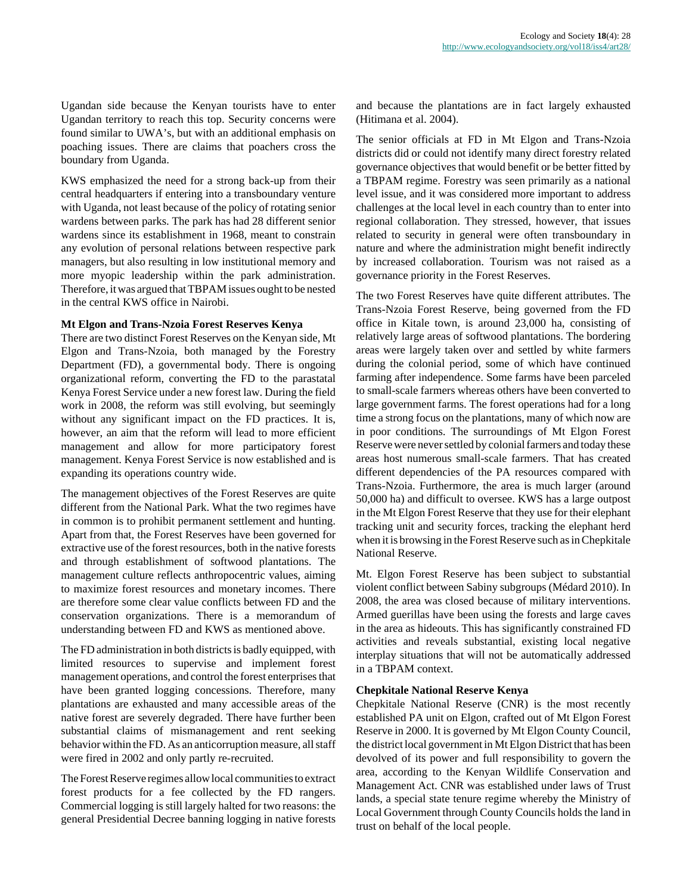Ugandan side because the Kenyan tourists have to enter Ugandan territory to reach this top. Security concerns were found similar to UWA's, but with an additional emphasis on poaching issues. There are claims that poachers cross the boundary from Uganda.

KWS emphasized the need for a strong back-up from their central headquarters if entering into a transboundary venture with Uganda, not least because of the policy of rotating senior wardens between parks. The park has had 28 different senior wardens since its establishment in 1968, meant to constrain any evolution of personal relations between respective park managers, but also resulting in low institutional memory and more myopic leadership within the park administration. Therefore, it was argued that TBPAM issues ought to be nested in the central KWS office in Nairobi.

## **Mt Elgon and Trans-Nzoia Forest Reserves Kenya**

There are two distinct Forest Reserves on the Kenyan side, Mt Elgon and Trans-Nzoia, both managed by the Forestry Department (FD), a governmental body. There is ongoing organizational reform, converting the FD to the parastatal Kenya Forest Service under a new forest law. During the field work in 2008, the reform was still evolving, but seemingly without any significant impact on the FD practices. It is, however, an aim that the reform will lead to more efficient management and allow for more participatory forest management. Kenya Forest Service is now established and is expanding its operations country wide.

The management objectives of the Forest Reserves are quite different from the National Park. What the two regimes have in common is to prohibit permanent settlement and hunting. Apart from that, the Forest Reserves have been governed for extractive use of the forest resources, both in the native forests and through establishment of softwood plantations. The management culture reflects anthropocentric values, aiming to maximize forest resources and monetary incomes. There are therefore some clear value conflicts between FD and the conservation organizations. There is a memorandum of understanding between FD and KWS as mentioned above.

The FD administration in both districts is badly equipped, with limited resources to supervise and implement forest management operations, and control the forest enterprises that have been granted logging concessions. Therefore, many plantations are exhausted and many accessible areas of the native forest are severely degraded. There have further been substantial claims of mismanagement and rent seeking behavior within the FD. As an anticorruption measure, all staff were fired in 2002 and only partly re-recruited.

The Forest Reserve regimes allow local communities to extract forest products for a fee collected by the FD rangers. Commercial logging is still largely halted for two reasons: the general Presidential Decree banning logging in native forests and because the plantations are in fact largely exhausted (Hitimana et al. 2004).

The senior officials at FD in Mt Elgon and Trans-Nzoia districts did or could not identify many direct forestry related governance objectives that would benefit or be better fitted by a TBPAM regime. Forestry was seen primarily as a national level issue, and it was considered more important to address challenges at the local level in each country than to enter into regional collaboration. They stressed, however, that issues related to security in general were often transboundary in nature and where the administration might benefit indirectly by increased collaboration. Tourism was not raised as a governance priority in the Forest Reserves.

The two Forest Reserves have quite different attributes. The Trans-Nzoia Forest Reserve, being governed from the FD office in Kitale town, is around 23,000 ha, consisting of relatively large areas of softwood plantations. The bordering areas were largely taken over and settled by white farmers during the colonial period, some of which have continued farming after independence. Some farms have been parceled to small-scale farmers whereas others have been converted to large government farms. The forest operations had for a long time a strong focus on the plantations, many of which now are in poor conditions. The surroundings of Mt Elgon Forest Reserve were never settled by colonial farmers and today these areas host numerous small-scale farmers. That has created different dependencies of the PA resources compared with Trans-Nzoia. Furthermore, the area is much larger (around 50,000 ha) and difficult to oversee. KWS has a large outpost in the Mt Elgon Forest Reserve that they use for their elephant tracking unit and security forces, tracking the elephant herd when it is browsing in the Forest Reserve such as in Chepkitale National Reserve.

Mt. Elgon Forest Reserve has been subject to substantial violent conflict between Sabiny subgroups (Médard 2010). In 2008, the area was closed because of military interventions. Armed guerillas have been using the forests and large caves in the area as hideouts. This has significantly constrained FD activities and reveals substantial, existing local negative interplay situations that will not be automatically addressed in a TBPAM context.

#### **Chepkitale National Reserve Kenya**

Chepkitale National Reserve (CNR) is the most recently established PA unit on Elgon, crafted out of Mt Elgon Forest Reserve in 2000. It is governed by Mt Elgon County Council, the district local government in Mt Elgon District that has been devolved of its power and full responsibility to govern the area, according to the Kenyan Wildlife Conservation and Management Act. CNR was established under laws of Trust lands, a special state tenure regime whereby the Ministry of Local Government through County Councils holds the land in trust on behalf of the local people.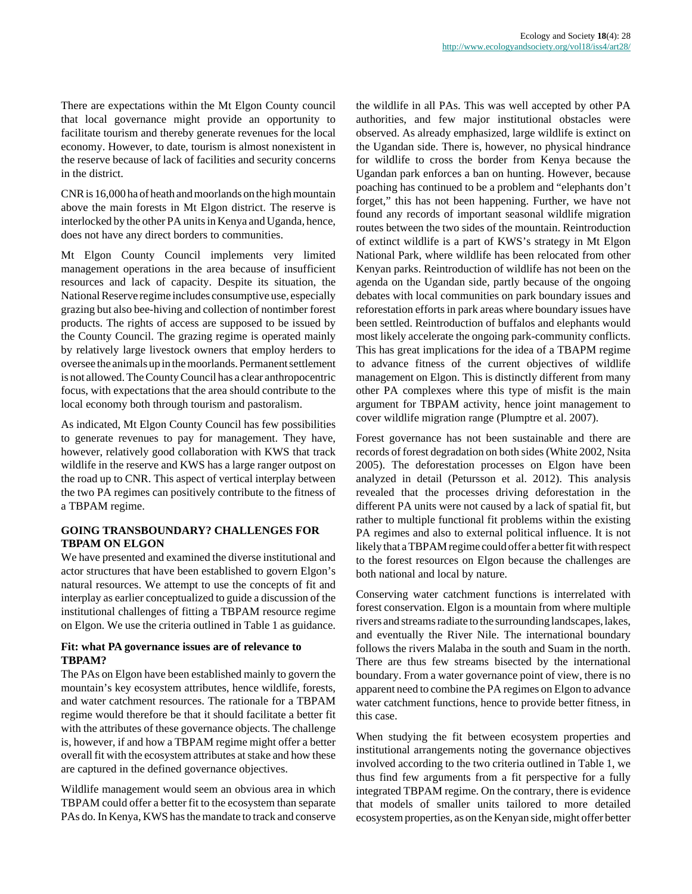There are expectations within the Mt Elgon County council that local governance might provide an opportunity to facilitate tourism and thereby generate revenues for the local economy. However, to date, tourism is almost nonexistent in the reserve because of lack of facilities and security concerns in the district.

CNR is 16,000 ha of heath and moorlands on the high mountain above the main forests in Mt Elgon district. The reserve is interlocked by the other PA units in Kenya and Uganda, hence, does not have any direct borders to communities.

Mt Elgon County Council implements very limited management operations in the area because of insufficient resources and lack of capacity. Despite its situation, the National Reserve regime includes consumptive use, especially grazing but also bee-hiving and collection of nontimber forest products. The rights of access are supposed to be issued by the County Council. The grazing regime is operated mainly by relatively large livestock owners that employ herders to oversee the animals up in the moorlands. Permanent settlement is not allowed. The County Council has a clear anthropocentric focus, with expectations that the area should contribute to the local economy both through tourism and pastoralism.

As indicated, Mt Elgon County Council has few possibilities to generate revenues to pay for management. They have, however, relatively good collaboration with KWS that track wildlife in the reserve and KWS has a large ranger outpost on the road up to CNR. This aspect of vertical interplay between the two PA regimes can positively contribute to the fitness of a TBPAM regime.

# **GOING TRANSBOUNDARY? CHALLENGES FOR TBPAM ON ELGON**

We have presented and examined the diverse institutional and actor structures that have been established to govern Elgon's natural resources. We attempt to use the concepts of fit and interplay as earlier conceptualized to guide a discussion of the institutional challenges of fitting a TBPAM resource regime on Elgon. We use the criteria outlined in Table 1 as guidance.

## **Fit: what PA governance issues are of relevance to TBPAM?**

The PAs on Elgon have been established mainly to govern the mountain's key ecosystem attributes, hence wildlife, forests, and water catchment resources. The rationale for a TBPAM regime would therefore be that it should facilitate a better fit with the attributes of these governance objects. The challenge is, however, if and how a TBPAM regime might offer a better overall fit with the ecosystem attributes at stake and how these are captured in the defined governance objectives.

Wildlife management would seem an obvious area in which TBPAM could offer a better fit to the ecosystem than separate PAs do. In Kenya, KWS has the mandate to track and conserve the wildlife in all PAs. This was well accepted by other PA authorities, and few major institutional obstacles were observed. As already emphasized, large wildlife is extinct on the Ugandan side. There is, however, no physical hindrance for wildlife to cross the border from Kenya because the Ugandan park enforces a ban on hunting. However, because poaching has continued to be a problem and "elephants don't forget," this has not been happening. Further, we have not found any records of important seasonal wildlife migration routes between the two sides of the mountain. Reintroduction of extinct wildlife is a part of KWS's strategy in Mt Elgon National Park, where wildlife has been relocated from other Kenyan parks. Reintroduction of wildlife has not been on the agenda on the Ugandan side, partly because of the ongoing debates with local communities on park boundary issues and reforestation efforts in park areas where boundary issues have been settled. Reintroduction of buffalos and elephants would most likely accelerate the ongoing park-community conflicts. This has great implications for the idea of a TBAPM regime to advance fitness of the current objectives of wildlife management on Elgon. This is distinctly different from many other PA complexes where this type of misfit is the main argument for TBPAM activity, hence joint management to cover wildlife migration range (Plumptre et al. 2007).

Forest governance has not been sustainable and there are records of forest degradation on both sides (White 2002, Nsita 2005). The deforestation processes on Elgon have been analyzed in detail (Petursson et al. 2012). This analysis revealed that the processes driving deforestation in the different PA units were not caused by a lack of spatial fit, but rather to multiple functional fit problems within the existing PA regimes and also to external political influence. It is not likely that a TBPAM regime could offer a better fit with respect to the forest resources on Elgon because the challenges are both national and local by nature.

Conserving water catchment functions is interrelated with forest conservation. Elgon is a mountain from where multiple rivers and streams radiate to the surrounding landscapes, lakes, and eventually the River Nile. The international boundary follows the rivers Malaba in the south and Suam in the north. There are thus few streams bisected by the international boundary. From a water governance point of view, there is no apparent need to combine the PA regimes on Elgon to advance water catchment functions, hence to provide better fitness, in this case.

When studying the fit between ecosystem properties and institutional arrangements noting the governance objectives involved according to the two criteria outlined in Table 1, we thus find few arguments from a fit perspective for a fully integrated TBPAM regime. On the contrary, there is evidence that models of smaller units tailored to more detailed ecosystem properties, as on the Kenyan side, might offer better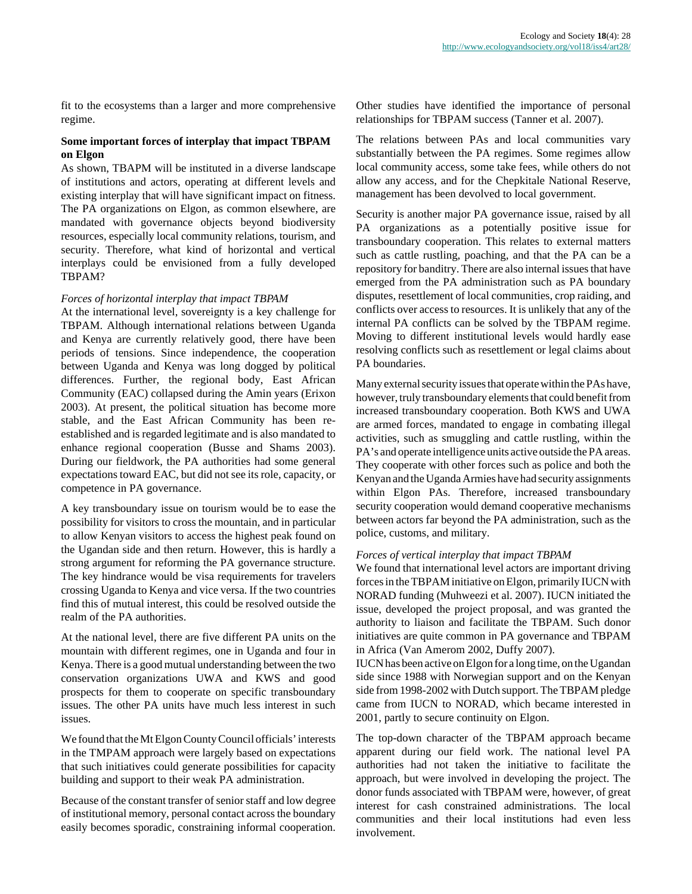fit to the ecosystems than a larger and more comprehensive regime.

#### **Some important forces of interplay that impact TBPAM on Elgon**

As shown, TBAPM will be instituted in a diverse landscape of institutions and actors, operating at different levels and existing interplay that will have significant impact on fitness. The PA organizations on Elgon, as common elsewhere, are mandated with governance objects beyond biodiversity resources, especially local community relations, tourism, and security. Therefore, what kind of horizontal and vertical interplays could be envisioned from a fully developed TBPAM?

## *Forces of horizontal interplay that impact TBPAM*

At the international level, sovereignty is a key challenge for TBPAM. Although international relations between Uganda and Kenya are currently relatively good, there have been periods of tensions. Since independence, the cooperation between Uganda and Kenya was long dogged by political differences. Further, the regional body, East African Community (EAC) collapsed during the Amin years (Erixon 2003). At present, the political situation has become more stable, and the East African Community has been reestablished and is regarded legitimate and is also mandated to enhance regional cooperation (Busse and Shams 2003). During our fieldwork, the PA authorities had some general expectations toward EAC, but did not see its role, capacity, or competence in PA governance.

A key transboundary issue on tourism would be to ease the possibility for visitors to cross the mountain, and in particular to allow Kenyan visitors to access the highest peak found on the Ugandan side and then return. However, this is hardly a strong argument for reforming the PA governance structure. The key hindrance would be visa requirements for travelers crossing Uganda to Kenya and vice versa. If the two countries find this of mutual interest, this could be resolved outside the realm of the PA authorities.

At the national level, there are five different PA units on the mountain with different regimes, one in Uganda and four in Kenya. There is a good mutual understanding between the two conservation organizations UWA and KWS and good prospects for them to cooperate on specific transboundary issues. The other PA units have much less interest in such issues.

We found that the Mt Elgon County Council officials' interests in the TMPAM approach were largely based on expectations that such initiatives could generate possibilities for capacity building and support to their weak PA administration.

Because of the constant transfer of senior staff and low degree of institutional memory, personal contact across the boundary easily becomes sporadic, constraining informal cooperation. Other studies have identified the importance of personal relationships for TBPAM success (Tanner et al. 2007).

The relations between PAs and local communities vary substantially between the PA regimes. Some regimes allow local community access, some take fees, while others do not allow any access, and for the Chepkitale National Reserve, management has been devolved to local government.

Security is another major PA governance issue, raised by all PA organizations as a potentially positive issue for transboundary cooperation. This relates to external matters such as cattle rustling, poaching, and that the PA can be a repository for banditry. There are also internal issues that have emerged from the PA administration such as PA boundary disputes, resettlement of local communities, crop raiding, and conflicts over access to resources. It is unlikely that any of the internal PA conflicts can be solved by the TBPAM regime. Moving to different institutional levels would hardly ease resolving conflicts such as resettlement or legal claims about PA boundaries.

Many external security issues that operate within the PAs have, however, truly transboundary elements that could benefit from increased transboundary cooperation. Both KWS and UWA are armed forces, mandated to engage in combating illegal activities, such as smuggling and cattle rustling, within the PA's and operate intelligence units active outside the PA areas. They cooperate with other forces such as police and both the Kenyan and the Uganda Armies have had security assignments within Elgon PAs. Therefore, increased transboundary security cooperation would demand cooperative mechanisms between actors far beyond the PA administration, such as the police, customs, and military.

## *Forces of vertical interplay that impact TBPAM*

We found that international level actors are important driving forces in the TBPAM initiative on Elgon, primarily IUCN with NORAD funding (Muhweezi et al. 2007). IUCN initiated the issue, developed the project proposal, and was granted the authority to liaison and facilitate the TBPAM. Such donor initiatives are quite common in PA governance and TBPAM in Africa (Van Amerom 2002, Duffy 2007).

IUCN has been active on Elgon for a long time, on the Ugandan side since 1988 with Norwegian support and on the Kenyan side from 1998-2002 with Dutch support. The TBPAM pledge came from IUCN to NORAD, which became interested in 2001, partly to secure continuity on Elgon.

The top-down character of the TBPAM approach became apparent during our field work. The national level PA authorities had not taken the initiative to facilitate the approach, but were involved in developing the project. The donor funds associated with TBPAM were, however, of great interest for cash constrained administrations. The local communities and their local institutions had even less involvement.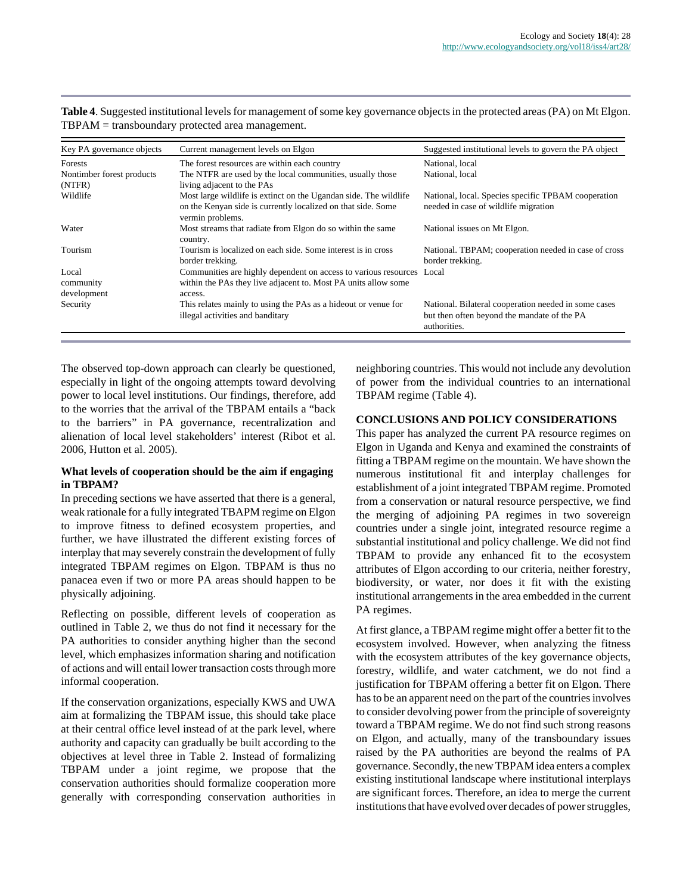**Table 4**. Suggested institutional levels for management of some key governance objects in the protected areas (PA) on Mt Elgon. TBPAM = transboundary protected area management.

| Key PA governance objects         | Current management levels on Elgon                                                                                                                   | Suggested institutional levels to govern the PA object                                                              |
|-----------------------------------|------------------------------------------------------------------------------------------------------------------------------------------------------|---------------------------------------------------------------------------------------------------------------------|
| Forests                           | The forest resources are within each country                                                                                                         | National, local                                                                                                     |
| Nontimber forest products         | The NTFR are used by the local communities, usually those                                                                                            | National, local                                                                                                     |
| (NTFR)                            | living adjacent to the PAs                                                                                                                           |                                                                                                                     |
| Wildlife                          | Most large wildlife is extinct on the Ugandan side. The wildlife<br>on the Kenyan side is currently localized on that side. Some<br>vermin problems. | National, local. Species specific TPBAM cooperation<br>needed in case of wildlife migration                         |
| Water                             | Most streams that radiate from Elgon do so within the same<br>country.                                                                               | National issues on Mt Elgon.                                                                                        |
| Tourism                           | Tourism is localized on each side. Some interest is in cross<br>border trekking.                                                                     | National. TBPAM; cooperation needed in case of cross<br>border trekking.                                            |
| Local<br>community<br>development | Communities are highly dependent on access to various resources Local<br>within the PAs they live adjacent to. Most PA units allow some<br>access.   |                                                                                                                     |
| Security                          | This relates mainly to using the PAs as a hideout or venue for<br>illegal activities and banditary                                                   | National. Bilateral cooperation needed in some cases<br>but then often beyond the mandate of the PA<br>authorities. |

The observed top-down approach can clearly be questioned, especially in light of the ongoing attempts toward devolving power to local level institutions. Our findings, therefore, add to the worries that the arrival of the TBPAM entails a "back to the barriers" in PA governance, recentralization and alienation of local level stakeholders' interest (Ribot et al. 2006, Hutton et al. 2005).

## **What levels of cooperation should be the aim if engaging in TBPAM?**

In preceding sections we have asserted that there is a general, weak rationale for a fully integrated TBAPM regime on Elgon to improve fitness to defined ecosystem properties, and further, we have illustrated the different existing forces of interplay that may severely constrain the development of fully integrated TBPAM regimes on Elgon. TBPAM is thus no panacea even if two or more PA areas should happen to be physically adjoining.

Reflecting on possible, different levels of cooperation as outlined in Table 2, we thus do not find it necessary for the PA authorities to consider anything higher than the second level, which emphasizes information sharing and notification of actions and will entail lower transaction costs through more informal cooperation.

If the conservation organizations, especially KWS and UWA aim at formalizing the TBPAM issue, this should take place at their central office level instead of at the park level, where authority and capacity can gradually be built according to the objectives at level three in Table 2. Instead of formalizing TBPAM under a joint regime, we propose that the conservation authorities should formalize cooperation more generally with corresponding conservation authorities in neighboring countries. This would not include any devolution of power from the individual countries to an international TBPAM regime (Table 4).

## **CONCLUSIONS AND POLICY CONSIDERATIONS**

This paper has analyzed the current PA resource regimes on Elgon in Uganda and Kenya and examined the constraints of fitting a TBPAM regime on the mountain. We have shown the numerous institutional fit and interplay challenges for establishment of a joint integrated TBPAM regime. Promoted from a conservation or natural resource perspective, we find the merging of adjoining PA regimes in two sovereign countries under a single joint, integrated resource regime a substantial institutional and policy challenge. We did not find TBPAM to provide any enhanced fit to the ecosystem attributes of Elgon according to our criteria, neither forestry, biodiversity, or water, nor does it fit with the existing institutional arrangements in the area embedded in the current PA regimes.

At first glance, a TBPAM regime might offer a better fit to the ecosystem involved. However, when analyzing the fitness with the ecosystem attributes of the key governance objects, forestry, wildlife, and water catchment, we do not find a justification for TBPAM offering a better fit on Elgon. There has to be an apparent need on the part of the countries involves to consider devolving power from the principle of sovereignty toward a TBPAM regime. We do not find such strong reasons on Elgon, and actually, many of the transboundary issues raised by the PA authorities are beyond the realms of PA governance. Secondly, the new TBPAM idea enters a complex existing institutional landscape where institutional interplays are significant forces. Therefore, an idea to merge the current institutions that have evolved over decades of power struggles,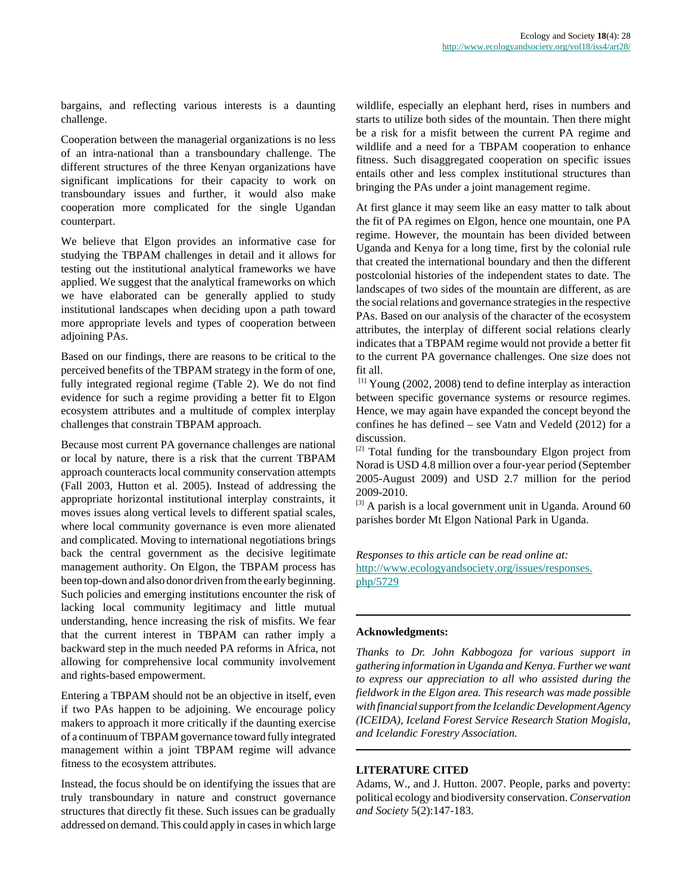bargains, and reflecting various interests is a daunting challenge.

Cooperation between the managerial organizations is no less of an intra-national than a transboundary challenge. The different structures of the three Kenyan organizations have significant implications for their capacity to work on transboundary issues and further, it would also make cooperation more complicated for the single Ugandan counterpart.

We believe that Elgon provides an informative case for studying the TBPAM challenges in detail and it allows for testing out the institutional analytical frameworks we have applied. We suggest that the analytical frameworks on which we have elaborated can be generally applied to study institutional landscapes when deciding upon a path toward more appropriate levels and types of cooperation between adjoining PAs.

Based on our findings, there are reasons to be critical to the perceived benefits of the TBPAM strategy in the form of one, fully integrated regional regime (Table 2). We do not find evidence for such a regime providing a better fit to Elgon ecosystem attributes and a multitude of complex interplay challenges that constrain TBPAM approach.

Because most current PA governance challenges are national or local by nature, there is a risk that the current TBPAM approach counteracts local community conservation attempts (Fall 2003, Hutton et al. 2005). Instead of addressing the appropriate horizontal institutional interplay constraints, it moves issues along vertical levels to different spatial scales, where local community governance is even more alienated and complicated. Moving to international negotiations brings back the central government as the decisive legitimate management authority. On Elgon, the TBPAM process has been top-down and also donor driven from the early beginning. Such policies and emerging institutions encounter the risk of lacking local community legitimacy and little mutual understanding, hence increasing the risk of misfits. We fear that the current interest in TBPAM can rather imply a backward step in the much needed PA reforms in Africa, not allowing for comprehensive local community involvement and rights-based empowerment.

Entering a TBPAM should not be an objective in itself, even if two PAs happen to be adjoining. We encourage policy makers to approach it more critically if the daunting exercise of a continuum of TBPAM governance toward fully integrated management within a joint TBPAM regime will advance fitness to the ecosystem attributes.

Instead, the focus should be on identifying the issues that are truly transboundary in nature and construct governance structures that directly fit these. Such issues can be gradually addressed on demand. This could apply in cases in which large wildlife, especially an elephant herd, rises in numbers and starts to utilize both sides of the mountain. Then there might be a risk for a misfit between the current PA regime and wildlife and a need for a TBPAM cooperation to enhance fitness. Such disaggregated cooperation on specific issues entails other and less complex institutional structures than bringing the PAs under a joint management regime.

At first glance it may seem like an easy matter to talk about the fit of PA regimes on Elgon, hence one mountain, one PA regime. However, the mountain has been divided between Uganda and Kenya for a long time, first by the colonial rule that created the international boundary and then the different postcolonial histories of the independent states to date. The landscapes of two sides of the mountain are different, as are the social relations and governance strategies in the respective PAs. Based on our analysis of the character of the ecosystem attributes, the interplay of different social relations clearly indicates that a TBPAM regime would not provide a better fit to the current PA governance challenges. One size does not fit all.

 $[1]$  Young (2002, 2008) tend to define interplay as interaction between specific governance systems or resource regimes. Hence, we may again have expanded the concept beyond the confines he has defined – see Vatn and Vedeld (2012) for a discussion.

[2] Total funding for the transboundary Elgon project from Norad is USD 4.8 million over a four-year period (September 2005-August 2009) and USD 2.7 million for the period 2009-2010.

[3] A parish is a local government unit in Uganda. Around 60 parishes border Mt Elgon National Park in Uganda.

*Responses to this article can be read online at:* [http://www.ecologyandsociety.org/issues/responses.](http://www.ecologyandsociety.org/issues/responses.php/5729) [php/5729](http://www.ecologyandsociety.org/issues/responses.php/5729)

#### **Acknowledgments:**

*Thanks to Dr. John Kabbogoza for various support in gathering information in Uganda and Kenya. Further we want to express our appreciation to all who assisted during the fieldwork in the Elgon area. This research was made possible with financial support from the Icelandic Development Agency (ICEIDA), Iceland Forest Service Research Station Mogisla, and Icelandic Forestry Association.*

# **LITERATURE CITED**

Adams, W., and J. Hutton. 2007. People, parks and poverty: political ecology and biodiversity conservation. *Conservation and Society* 5(2):147-183.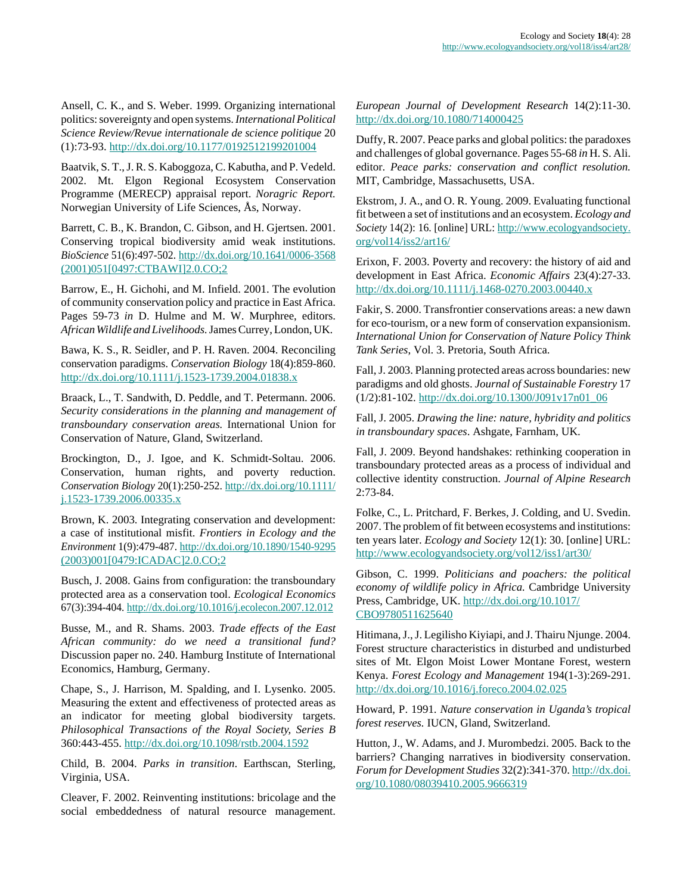Ansell, C. K., and S. Weber. 1999. Organizing international politics: sovereignty and open systems. *International Political Science Review/Revue internationale de science politique* 20 (1):73-93. <http://dx.doi.org/10.1177/0192512199201004>

Baatvik, S. T., J. R. S. Kaboggoza, C. Kabutha, and P. Vedeld. 2002. Mt. Elgon Regional Ecosystem Conservation Programme (MERECP) appraisal report. *Noragric Report.* Norwegian University of Life Sciences, Ås, Norway.

Barrett, C. B., K. Brandon, C. Gibson, and H. Gjertsen. 2001. Conserving tropical biodiversity amid weak institutions. *BioScience* 51(6):497-502. [http://dx.doi.org/10.1641/0006-3568](http://dx.doi.org/10.1641/0006-3568(2001)051[0497:CTBAWI]2.0.CO;2) [\(2001\)051\[0497:CTBAWI\]2.0.CO;2](http://dx.doi.org/10.1641/0006-3568(2001)051[0497:CTBAWI]2.0.CO;2)

Barrow, E., H. Gichohi, and M. Infield. 2001. The evolution of community conservation policy and practice in East Africa. Pages 59-73 *in* D. Hulme and M. W. Murphree, editors. *African Wildlife and Livelihoods.* James Currey, London, UK.

Bawa, K. S., R. Seidler, and P. H. Raven. 2004. Reconciling conservation paradigms. *Conservation Biology* 18(4):859-860. <http://dx.doi.org/10.1111/j.1523-1739.2004.01838.x>

Braack, L., T. Sandwith, D. Peddle, and T. Petermann. 2006. *Security considerations in the planning and management of transboundary conservation areas.* International Union for Conservation of Nature, Gland, Switzerland.

Brockington, D., J. Igoe, and K. Schmidt-Soltau. 2006. Conservation, human rights, and poverty reduction. *Conservation Biology* 20(1):250-252. [http://dx.doi.org/10.1111/](http://dx.doi.org/10.1111/j.1523-1739.2006.00335.x) [j.1523-1739.2006.00335.x](http://dx.doi.org/10.1111/j.1523-1739.2006.00335.x)

Brown, K. 2003. Integrating conservation and development: a case of institutional misfit. *Frontiers in Ecology and the Environment* 1(9):479-487. [http://dx.doi.org/10.1890/1540-9295](http://dx.doi.org/10.1890/1540-9295(2003)001[0479:ICADAC]2.0.CO;2) [\(2003\)001\[0479:ICADAC\]2.0.CO;2](http://dx.doi.org/10.1890/1540-9295(2003)001[0479:ICADAC]2.0.CO;2)

Busch, J. 2008. Gains from configuration: the transboundary protected area as a conservation tool. *Ecological Economics* 67(3):394-404.<http://dx.doi.org/10.1016/j.ecolecon.2007.12.012>

Busse, M., and R. Shams. 2003. *Trade effects of the East African community: do we need a transitional fund?* Discussion paper no. 240. Hamburg Institute of International Economics, Hamburg, Germany.

Chape, S., J. Harrison, M. Spalding, and I. Lysenko. 2005. Measuring the extent and effectiveness of protected areas as an indicator for meeting global biodiversity targets. *Philosophical Transactions of the Royal Society, Series B* 360:443-455.<http://dx.doi.org/10.1098/rstb.2004.1592>

Child, B. 2004. *Parks in transition*. Earthscan, Sterling, Virginia, USA.

Cleaver, F. 2002. Reinventing institutions: bricolage and the social embeddedness of natural resource management. *European Journal of Development Research* 14(2):11-30. <http://dx.doi.org/10.1080/714000425>

Duffy, R. 2007. Peace parks and global politics: the paradoxes and challenges of global governance. Pages 55-68 *in* H. S. Ali. editor. *Peace parks: conservation and conflict resolution.* MIT, Cambridge, Massachusetts, USA.

Ekstrom, J. A., and O. R. Young. 2009. Evaluating functional fit between a set of institutions and an ecosystem. *Ecology and Society* 14(2): 16. [online] URL: [http://www.ecologyandsociety.](http://www.ecologyandsociety.org/vol14/iss2/art16/) [org/vol14/iss2/art16/](http://www.ecologyandsociety.org/vol14/iss2/art16/)

Erixon, F. 2003. Poverty and recovery: the history of aid and development in East Africa. *Economic Affairs* 23(4):27-33. <http://dx.doi.org/10.1111/j.1468-0270.2003.00440.x>

Fakir, S. 2000. Transfrontier conservations areas: a new dawn for eco-tourism, or a new form of conservation expansionism. *International Union for Conservation of Nature Policy Think Tank Series*, Vol. 3. Pretoria, South Africa.

Fall, J. 2003. Planning protected areas across boundaries: new paradigms and old ghosts. *Journal of Sustainable Forestry* 17 (1/2):81-102. [http://dx.doi.org/10.1300/J091v17n01\\_06](http://dx.doi.org/10.1300/J091v17n01_06)

Fall, J. 2005. *Drawing the line: nature, hybridity and politics in transboundary spaces*. Ashgate, Farnham, UK.

Fall, J. 2009. Beyond handshakes: rethinking cooperation in transboundary protected areas as a process of individual and collective identity construction. *Journal of Alpine Research* 2:73-84.

Folke, C., L. Pritchard, F. Berkes, J. Colding, and U. Svedin. 2007. The problem of fit between ecosystems and institutions: ten years later. *Ecology and Society* 12(1): 30. [online] URL: <http://www.ecologyandsociety.org/vol12/iss1/art30/>

Gibson, C. 1999. *Politicians and poachers: the political economy of wildlife policy in Africa.* Cambridge University Press, Cambridge, UK. [http://dx.doi.org/10.1017/](http://dx.doi.org/10.1017/CBO9780511625640) [CBO9780511625640](http://dx.doi.org/10.1017/CBO9780511625640)

Hitimana, J., J. Legilisho Kiyiapi, and J. Thairu Njunge. 2004. Forest structure characteristics in disturbed and undisturbed sites of Mt. Elgon Moist Lower Montane Forest, western Kenya. *Forest Ecology and Management* 194(1-3):269-291. <http://dx.doi.org/10.1016/j.foreco.2004.02.025>

Howard, P. 1991. *Nature conservation in Uganda's tropical forest reserves.* IUCN, Gland, Switzerland.

Hutton, J., W. Adams, and J. Murombedzi. 2005. Back to the barriers? Changing narratives in biodiversity conservation. *Forum for Development Studies* 32(2):341-370. [http://dx.doi.](http://dx.doi.org/10.1080/08039410.2005.9666319) [org/10.1080/08039410.2005.9666319](http://dx.doi.org/10.1080/08039410.2005.9666319)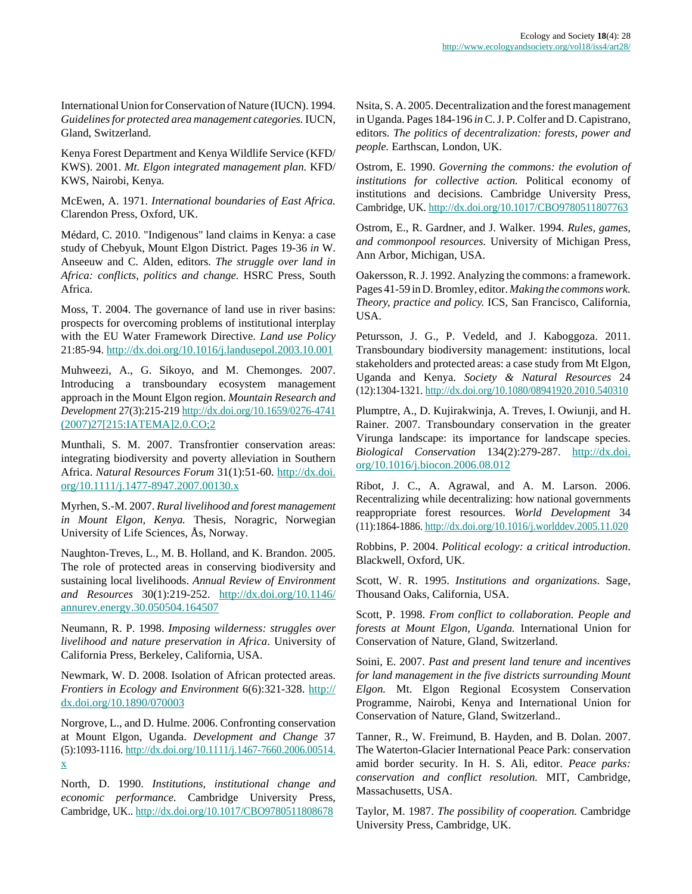International Union for Conservation of Nature (IUCN). 1994. *Guidelines for protected area management categories.* IUCN, Gland, Switzerland.

Kenya Forest Department and Kenya Wildlife Service (KFD/ KWS). 2001. *Mt. Elgon integrated management plan.* KFD/ KWS, Nairobi, Kenya.

McEwen, A. 1971. *International boundaries of East Africa.* Clarendon Press, Oxford, UK.

Médard, C. 2010. "Indigenous" land claims in Kenya: a case study of Chebyuk, Mount Elgon District. Pages 19-36 *in* W. Anseeuw and C. Alden, editors. *The struggle over land in Africa: conflicts, politics and change.* HSRC Press, South Africa.

Moss, T. 2004. The governance of land use in river basins: prospects for overcoming problems of institutional interplay with the EU Water Framework Directive. *Land use Policy* 21:85-94.<http://dx.doi.org/10.1016/j.landusepol.2003.10.001>

Muhweezi, A., G. Sikoyo, and M. Chemonges. 2007. Introducing a transboundary ecosystem management approach in the Mount Elgon region. *Mountain Research and Development* 27(3):215-219 [http://dx.doi.org/10.1659/0276-4741](http://dx.doi.org/10.1659/0276-4741(2007)27[215:IATEMA]2.0.CO;2) [\(2007\)27\[215:IATEMA\]2.0.CO;2](http://dx.doi.org/10.1659/0276-4741(2007)27[215:IATEMA]2.0.CO;2) 

Munthali, S. M. 2007. Transfrontier conservation areas: integrating biodiversity and poverty alleviation in Southern Africa. *Natural Resources Forum* 31(1):51-60. [http://dx.doi.](http://dx.doi.org/10.1111/j.1477-8947.2007.00130.x) [org/10.1111/j.1477-8947.2007.00130.x](http://dx.doi.org/10.1111/j.1477-8947.2007.00130.x)

Myrhen, S.-M. 2007. *Rural livelihood and forest management in Mount Elgon, Kenya.* Thesis, Noragric, Norwegian University of Life Sciences, Ås, Norway.

Naughton-Treves, L., M. B. Holland, and K. Brandon. 2005. The role of protected areas in conserving biodiversity and sustaining local livelihoods. *Annual Review of Environment and Resources* 30(1):219-252. [http://dx.doi.org/10.1146/](http://dx.doi.org/10.1146/annurev.energy.30.050504.164507) [annurev.energy.30.050504.164507](http://dx.doi.org/10.1146/annurev.energy.30.050504.164507)

Neumann, R. P. 1998. *Imposing wilderness: struggles over livelihood and nature preservation in Africa*. University of California Press, Berkeley, California, USA.

Newmark, W. D. 2008. Isolation of African protected areas. *Frontiers in Ecology and Environment* 6(6):321-328. [http://](http://dx.doi.org/10.1890/070003) [dx.doi.org/10.1890/070003](http://dx.doi.org/10.1890/070003)

Norgrove, L., and D. Hulme. 2006. Confronting conservation at Mount Elgon, Uganda. *Development and Change* 37 (5):1093-1116. [http://dx.doi.org/10.1111/j.1467-7660.2006.00514.](http://dx.doi.org/10.1111/j.1467-7660.2006.00514.x) [x](http://dx.doi.org/10.1111/j.1467-7660.2006.00514.x)

North, D. 1990. *Institutions, institutional change and economic performance.* Cambridge University Press, Cambridge, UK..<http://dx.doi.org/10.1017/CBO9780511808678>

Nsita, S. A. 2005. Decentralization and the forest management in Uganda. Pages 184-196 *in* C. J. P. Colfer and D. Capistrano, editors. *The politics of decentralization: forests, power and people.* Earthscan, London, UK.

Ostrom, E. 1990. *Governing the commons: the evolution of institutions for collective action.* Political economy of institutions and decisions. Cambridge University Press, Cambridge, UK.<http://dx.doi.org/10.1017/CBO9780511807763>

Ostrom, E., R. Gardner, and J. Walker. 1994. *Rules, games, and commonpool resources.* University of Michigan Press, Ann Arbor, Michigan, USA.

Oakersson, R. J. 1992. Analyzing the commons: a framework. Pages 41-59 in D. Bromley, editor. *Making the commons work. Theory, practice and policy.* ICS, San Francisco, California, USA.

Petursson, J. G., P. Vedeld, and J. Kaboggoza. 2011. Transboundary biodiversity management: institutions, local stakeholders and protected areas: a case study from Mt Elgon, Uganda and Kenya. *Society & Natural Resources* 24 (12):1304-1321.<http://dx.doi.org/10.1080/08941920.2010.540310>

Plumptre, A., D. Kujirakwinja, A. Treves, I. Owiunji, and H. Rainer. 2007. Transboundary conservation in the greater Virunga landscape: its importance for landscape species. *Biological Conservation* 134(2):279-287. [http://dx.doi.](http://dx.doi.org/10.1016/j.biocon.2006.08.012) [org/10.1016/j.biocon.2006.08.012](http://dx.doi.org/10.1016/j.biocon.2006.08.012)

Ribot, J. C., A. Agrawal, and A. M. Larson. 2006. Recentralizing while decentralizing: how national governments reappropriate forest resources. *World Development* 34 (11):1864-1886.<http://dx.doi.org/10.1016/j.worlddev.2005.11.020>

Robbins, P. 2004. *Political ecology: a critical introduction*. Blackwell, Oxford, UK.

Scott, W. R. 1995. *Institutions and organizations*. Sage, Thousand Oaks, California, USA.

Scott, P. 1998. *From conflict to collaboration. People and forests at Mount Elgon, Uganda.* International Union for Conservation of Nature, Gland, Switzerland.

Soini, E. 2007. *Past and present land tenure and incentives for land management in the five districts surrounding Mount Elgon.* Mt. Elgon Regional Ecosystem Conservation Programme, Nairobi, Kenya and International Union for Conservation of Nature, Gland, Switzerland..

Tanner, R., W. Freimund, B. Hayden, and B. Dolan. 2007. The Waterton-Glacier International Peace Park: conservation amid border security. In H. S. Ali, editor. *Peace parks: conservation and conflict resolution.* MIT, Cambridge, Massachusetts, USA.

Taylor, M. 1987. *The possibility of cooperation.* Cambridge University Press, Cambridge, UK.